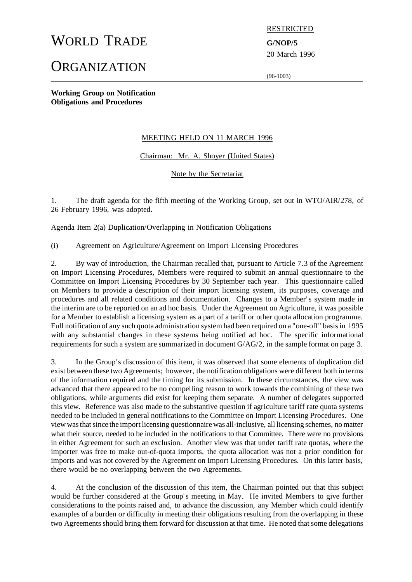# WORLD TRADE **G/NOP/5**

# **ORGANIZATION**

#### RESTRICTED

20 March 1996

(96-1003)

**Working Group on Notification Obligations and Procedures**

### MEETING HELD ON 11 MARCH 1996

Chairman: Mr. A. Shoyer (United States)

Note by the Secretariat

1. The draft agenda for the fifth meeting of the Working Group, set out in WTO/AIR/278, of 26 February 1996, was adopted.

Agenda Item 2(a) Duplication/Overlapping in Notification Obligations

(i) Agreement on Agriculture/Agreement on Import Licensing Procedures

2. By way of introduction, the Chairman recalled that, pursuant to Article 7.3 of the Agreement on Import Licensing Procedures, Members were required to submit an annual questionnaire to the Committee on Import Licensing Procedures by 30 September each year. This questionnaire called on Members to provide a description of their import licensing system, its purposes, coverage and procedures and all related conditions and documentation. Changes to a Member's system made in the interim are to be reported on an ad hoc basis. Under the Agreement on Agriculture, it was possible for a Member to establish a licensing system as a part of a tariff or other quota allocation programme. Full notification of any such quota administration system had been required on a "one-off" basisin 1995 with any substantial changes in these systems being notified ad hoc. The specific informational requirements for such a system are summarized in document G/AG/2, in the sample format on page 3.

3. In the Group's discussion of this item, it was observed that some elements of duplication did exist between these two Agreements; however, the notification obligations were different both in terms of the information required and the timing for its submission. In these circumstances, the view was advanced that there appeared to be no compelling reason to work towards the combining of these two obligations, while arguments did exist for keeping them separate. A number of delegates supported this view. Reference was also made to the substantive question if agriculture tariff rate quota systems needed to be included in general notifications to the Committee on Import Licensing Procedures. One view wasthatsince the import licensing questionnaire was all-inclusive, all licensing schemes, nomatter what their source, needed to be included in the notifications to that Committee. There were no provisions in either Agreement for such an exclusion. Another view was that under tariff rate quotas, where the importer was free to make out-of-quota imports, the quota allocation was not a prior condition for imports and was not covered by the Agreement on Import Licensing Procedures. On this latter basis, there would be no overlapping between the two Agreements.

4. At the conclusion of the discussion of this item, the Chairman pointed out that this subject would be further considered at the Group's meeting in May. He invited Members to give further considerations to the points raised and, to advance the discussion, any Member which could identify examples of a burden or difficulty in meeting their obligations resulting from the overlapping in these two Agreements should bring them forward for discussion at that time. He noted that some delegations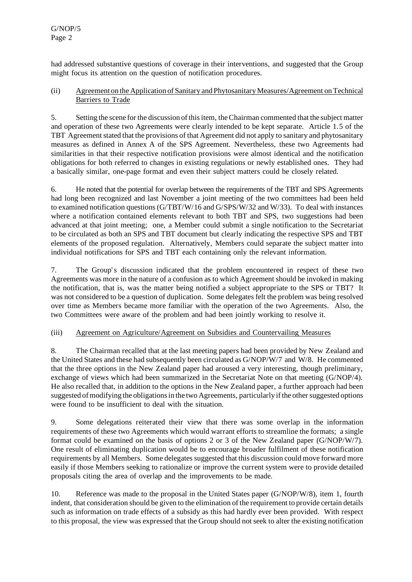had addressed substantive questions of coverage in their interventions, and suggested that the Group might focus its attention on the question of notification procedures.

### (ii) Agreement on the Application of Sanitary andPhytosanitary Measures/Agreement onTechnical Barriers to Trade

5. Setting the scene for the discussion of this item, the Chairman commented that the subject matter and operation of these two Agreements were clearly intended to be kept separate. Article 1.5 of the TBT Agreement stated that the provisions of that Agreement did not apply to sanitary and phytosanitary measures as defined in Annex A of the SPS Agreement. Nevertheless, these two Agreements had similarities in that their respective notification provisions were almost identical and the notification obligations for both referred to changes in existing regulations or newly established ones. They had a basically similar, one-page format and even their subject matters could be closely related.

6. He noted that the potential for overlap between the requirements of the TBT and SPS Agreements had long been recognized and last November a joint meeting of the two committees had been held to examined notification questions  $(G/TBT/W/16$  and  $G/SPS/W/32$  and  $W/33$ ). To deal with instances where a notification contained elements relevant to both TBT and SPS, two suggestions had been advanced at that joint meeting; one, a Member could submit a single notification to the Secretariat to be circulated as both an SPS and TBT document but clearly indicating the respective SPS and TBT elements of the proposed regulation. Alternatively, Members could separate the subject matter into individual notifications for SPS and TBT each containing only the relevant information.

7. The Group's discussion indicated that the problem encountered in respect of these two Agreements was more in the nature of a confusion as to which Agreement should be invoked in making the notification, that is, was the matter being notified a subject appropriate to the SPS or TBT? It was not considered to be a question of duplication. Some delegatesfelt the problem was being resolved over time as Members became more familiar with the operation of the two Agreements. Also, the two Committees were aware of the problem and had been jointly working to resolve it.

## (iii) Agreement on Agriculture/Agreement on Subsidies and Countervailing Measures

8. The Chairman recalled that at the last meeting papers had been provided by New Zealand and the United States and these had subsequently been circulated as G/NOP/W/7 and W/8. He commented that the three options in the New Zealand paper had aroused a very interesting, though preliminary, exchange of views which had been summarized in the Secretariat Note on that meeting (G/NOP/4). He also recalled that, in addition to the options in the New Zealand paper, a further approach had been suggested of modifying the obligations in the two Agreements, particularly if the other suggested options were found to be insufficient to deal with the situation.

9. Some delegations reiterated their view that there was some overlap in the information requirements of these two Agreements which would warrant efforts to streamline the formats; a single format could be examined on the basis of options 2 or 3 of the New Zealand paper (G/NOP/W/7). One result of eliminating duplication would be to encourage broader fulfilment of these notification requirements by all Members. Some delegates suggested that this discussion could move forward more easily if those Members seeking to rationalize or improve the current system were to provide detailed proposals citing the area of overlap and the improvements to be made.

10. Reference was made to the proposal in the United States paper (G/NOP/W/8), item 1, fourth indent, that consideration should be given to the elimination of the requirement to provide certain details such as information on trade effects of a subsidy as this had hardly ever been provided. With respect to this proposal, the view was expressed that the Group should notseek to alter the existing notification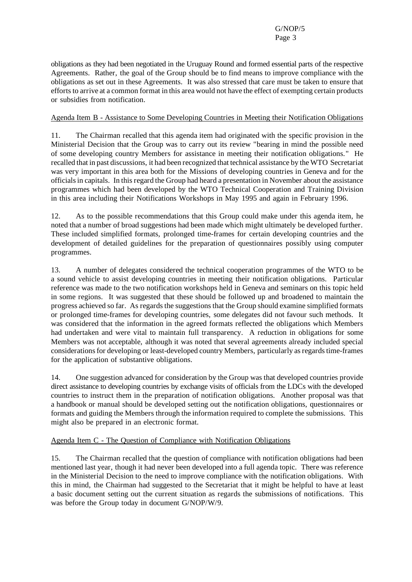obligations as they had been negotiated in the Uruguay Round and formed essential parts of the respective Agreements. Rather, the goal of the Group should be to find means to improve compliance with the obligations as set out in these Agreements. It was also stressed that care must be taken to ensure that efforts to arrive at a common format in this area would not have the effect of exempting certain products or subsidies from notification.

#### Agenda Item B - Assistance to Some Developing Countries in Meeting their Notification Obligations

11. The Chairman recalled that this agenda item had originated with the specific provision in the Ministerial Decision that the Group was to carry out its review "bearing in mind the possible need of some developing country Members for assistance in meeting their notification obligations." He recalled that in past discussions, it had been recognized that technical assistance by the WTO Secretariat was very important in this area both for the Missions of developing countries in Geneva and for the officialsin capitals. In thisregard the Group had heard a presentation in November about the assistance programmes which had been developed by the WTO Technical Cooperation and Training Division in this area including their Notifications Workshops in May 1995 and again in February 1996.

12. As to the possible recommendations that this Group could make under this agenda item, he noted that a number of broad suggestions had been made which might ultimately be developed further. These included simplified formats, prolonged time-frames for certain developing countries and the development of detailed guidelines for the preparation of questionnaires possibly using computer programmes.

13. A number of delegates considered the technical cooperation programmes of the WTO to be a sound vehicle to assist developing countries in meeting their notification obligations. Particular reference was made to the two notification workshops held in Geneva and seminars on this topic held in some regions. It was suggested that these should be followed up and broadened to maintain the progress achieved so far. As regards the suggestions that the Group should examine simplified formats or prolonged time-frames for developing countries, some delegates did not favour such methods. It was considered that the information in the agreed formats reflected the obligations which Members had undertaken and were vital to maintain full transparency. A reduction in obligations for some Members was not acceptable, although it was noted that several agreements already included special considerations for developing or least-developed country Members, particularly as regards time-frames for the application of substantive obligations.

14. One suggestion advanced for consideration by the Group was that developed countries provide direct assistance to developing countries by exchange visits of officials from the LDCs with the developed countries to instruct them in the preparation of notification obligations. Another proposal was that a handbook or manual should be developed setting out the notification obligations, questionnaires or formats and guiding the Members through the information required to complete the submissions. This might also be prepared in an electronic format.

#### Agenda Item C - The Question of Compliance with Notification Obligations

15. The Chairman recalled that the question of compliance with notification obligations had been mentioned last year, though it had never been developed into a full agenda topic. There was reference in the Ministerial Decision to the need to improve compliance with the notification obligations. With this in mind, the Chairman had suggested to the Secretariat that it might be helpful to have at least a basic document setting out the current situation as regards the submissions of notifications. This was before the Group today in document G/NOP/W/9.